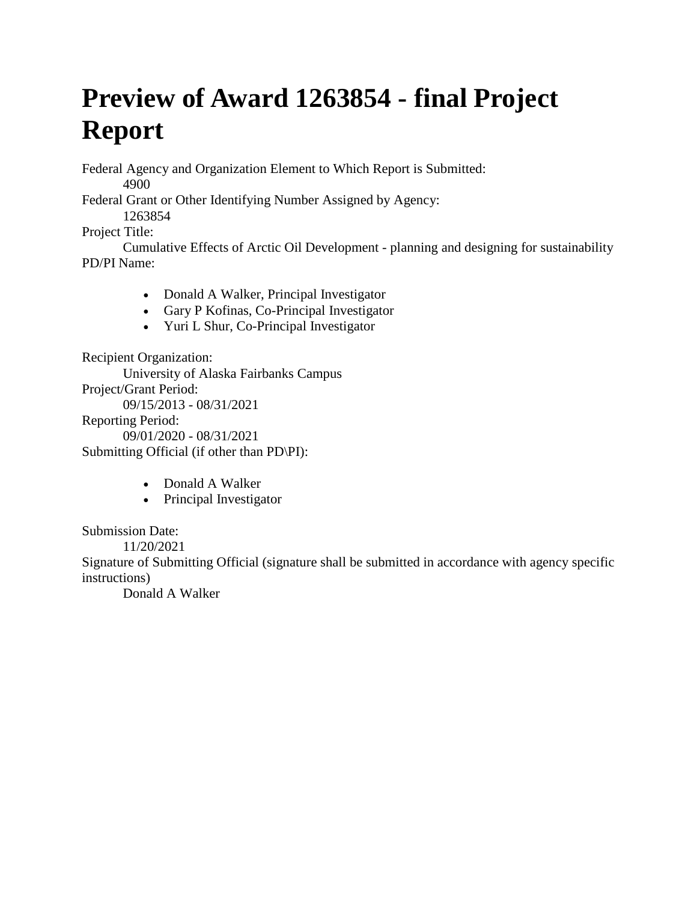# **Preview of Award 1263854 - final Project Report**

Federal Agency and Organization Element to Which Report is Submitted: 4900

Federal Grant or Other Identifying Number Assigned by Agency: 1263854

Project Title:

Cumulative Effects of Arctic Oil Development - planning and designing for sustainability PD/PI Name:

- Donald A Walker, Principal Investigator
- Gary P Kofinas, Co-Principal Investigator
- Yuri L Shur, Co-Principal Investigator

Recipient Organization:

University of Alaska Fairbanks Campus

Project/Grant Period:

09/15/2013 - 08/31/2021

Reporting Period:

09/01/2020 - 08/31/2021

Submitting Official (if other than PD\PI):

- Donald A Walker
- Principal Investigator

Submission Date:

11/20/2021

Signature of Submitting Official (signature shall be submitted in accordance with agency specific instructions)

Donald A Walker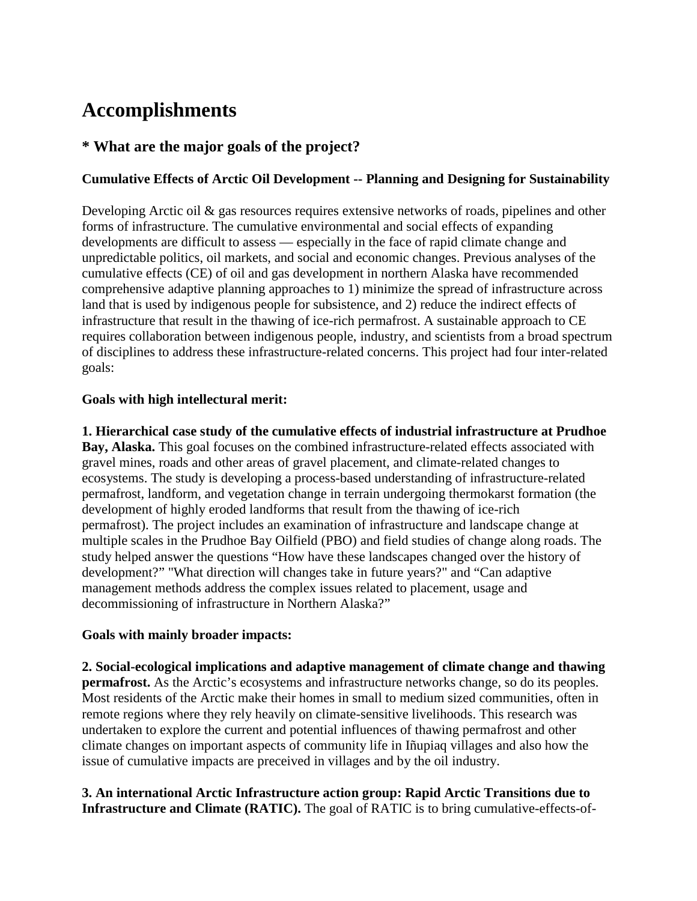# **Accomplishments**

# **\* What are the major goals of the project?**

### **Cumulative Effects of Arctic Oil Development -- Planning and Designing for Sustainability**

Developing Arctic oil & gas resources requires extensive networks of roads, pipelines and other forms of infrastructure. The cumulative environmental and social effects of expanding developments are difficult to assess — especially in the face of rapid climate change and unpredictable politics, oil markets, and social and economic changes. Previous analyses of the cumulative effects (CE) of oil and gas development in northern Alaska have recommended comprehensive adaptive planning approaches to 1) minimize the spread of infrastructure across land that is used by indigenous people for subsistence, and 2) reduce the indirect effects of infrastructure that result in the thawing of ice-rich permafrost. A sustainable approach to CE requires collaboration between indigenous people, industry, and scientists from a broad spectrum of disciplines to address these infrastructure-related concerns. This project had four inter-related goals:

#### **Goals with high intellectural merit:**

**1. Hierarchical case study of the cumulative effects of industrial infrastructure at Prudhoe Bay, Alaska.** This goal focuses on the combined infrastructure-related effects associated with gravel mines, roads and other areas of gravel placement, and climate-related changes to ecosystems. The study is developing a process-based understanding of infrastructure-related permafrost, landform, and vegetation change in terrain undergoing thermokarst formation (the development of highly eroded landforms that result from the thawing of ice-rich permafrost). The project includes an examination of infrastructure and landscape change at multiple scales in the Prudhoe Bay Oilfield (PBO) and field studies of change along roads. The study helped answer the questions "How have these landscapes changed over the history of development?" "What direction will changes take in future years?" and "Can adaptive management methods address the complex issues related to placement, usage and decommissioning of infrastructure in Northern Alaska?"

#### **Goals with mainly broader impacts:**

**2. Social-ecological implications and adaptive management of climate change and thawing permafrost.** As the Arctic's ecosystems and infrastructure networks change, so do its peoples. Most residents of the Arctic make their homes in small to medium sized communities, often in remote regions where they rely heavily on climate-sensitive livelihoods. This research was undertaken to explore the current and potential influences of thawing permafrost and other climate changes on important aspects of community life in Iñupiaq villages and also how the issue of cumulative impacts are preceived in villages and by the oil industry.

### **3. An international Arctic Infrastructure action group: Rapid Arctic Transitions due to Infrastructure and Climate (RATIC).** The goal of RATIC is to bring cumulative-effects-of-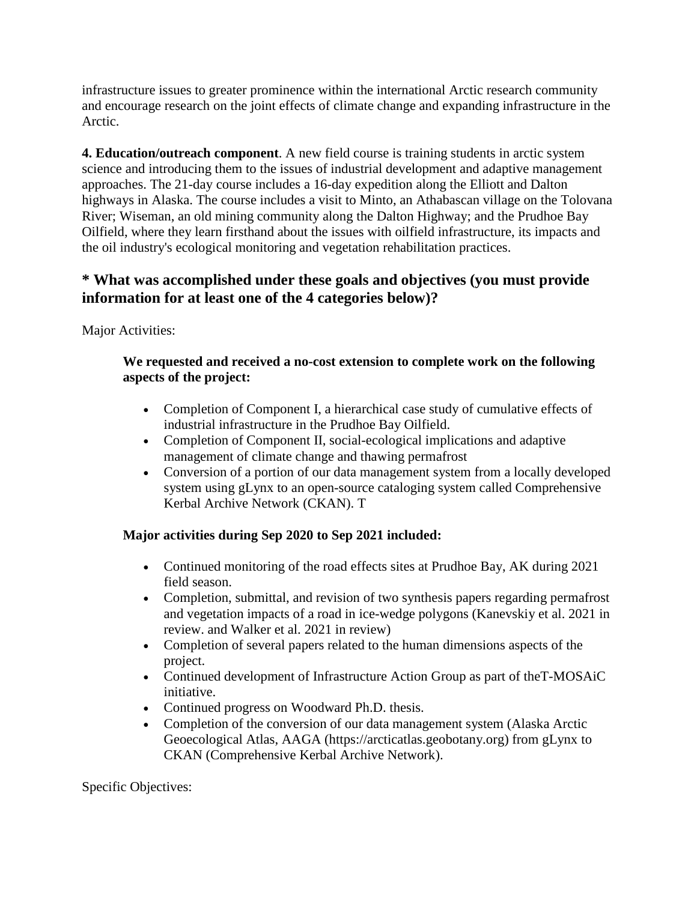infrastructure issues to greater prominence within the international Arctic research community and encourage research on the joint effects of climate change and expanding infrastructure in the Arctic.

**4. Education/outreach component**. A new field course is training students in arctic system science and introducing them to the issues of industrial development and adaptive management approaches. The 21-day course includes a 16-day expedition along the Elliott and Dalton highways in Alaska. The course includes a visit to Minto, an Athabascan village on the Tolovana River; Wiseman, an old mining community along the Dalton Highway; and the Prudhoe Bay Oilfield, where they learn firsthand about the issues with oilfield infrastructure, its impacts and the oil industry's ecological monitoring and vegetation rehabilitation practices.

# **\* What was accomplished under these goals and objectives (you must provide information for at least one of the 4 categories below)?**

Major Activities:

#### **We requested and received a no-cost extension to complete work on the following aspects of the project:**

- Completion of Component I, a hierarchical case study of cumulative effects of industrial infrastructure in the Prudhoe Bay Oilfield.
- Completion of Component II, social-ecological implications and adaptive management of climate change and thawing permafrost
- Conversion of a portion of our data management system from a locally developed system using gLynx to an open-source cataloging system called Comprehensive Kerbal Archive Network (CKAN). T

# **Major activities during Sep 2020 to Sep 2021 included:**

- Continued monitoring of the road effects sites at Prudhoe Bay, AK during 2021 field season.
- Completion, submittal, and revision of two synthesis papers regarding permafrost and vegetation impacts of a road in ice-wedge polygons (Kanevskiy et al. 2021 in review. and Walker et al. 2021 in review)
- Completion of several papers related to the human dimensions aspects of the project.
- Continued development of Infrastructure Action Group as part of the T-MOSAiC initiative.
- Continued progress on Woodward Ph.D. thesis.
- Completion of the conversion of our data management system (Alaska Arctic Geoecological Atlas, AAGA (https://arcticatlas.geobotany.org) from gLynx to CKAN (Comprehensive Kerbal Archive Network).

Specific Objectives: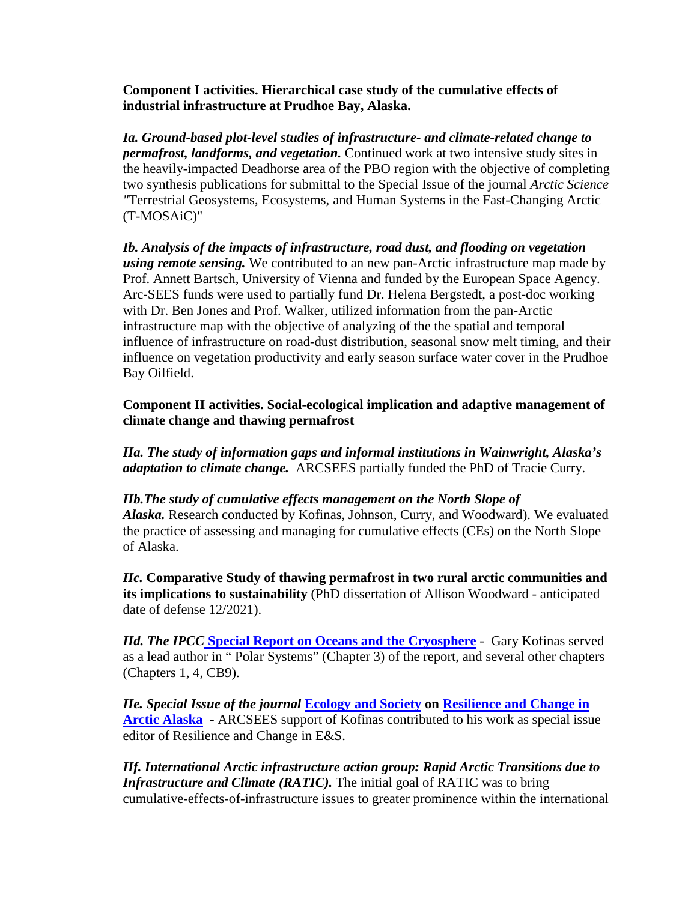**Component I activities. Hierarchical case study of the cumulative effects of industrial infrastructure at Prudhoe Bay, Alaska.**

*Ia. Ground-based plot-level studies of infrastructure- and climate-related change to permafrost, landforms, and vegetation.* Continued work at two intensive study sites in the heavily-impacted Deadhorse area of the PBO region with the objective of completing two synthesis publications for submittal to the Special Issue of the journal *Arctic Science "*Terrestrial Geosystems, Ecosystems, and Human Systems in the Fast-Changing Arctic (T-MOSAiC)"

*Ib. Analysis of the impacts of infrastructure, road dust, and flooding on vegetation using remote sensing.* We contributed to an new pan-Arctic infrastructure map made by Prof. Annett Bartsch, University of Vienna and funded by the European Space Agency. Arc-SEES funds were used to partially fund Dr. Helena Bergstedt, a post-doc working with Dr. Ben Jones and Prof. Walker, utilized information from the pan-Arctic infrastructure map with the objective of analyzing of the the spatial and temporal influence of infrastructure on road-dust distribution, seasonal snow melt timing, and their influence on vegetation productivity and early season surface water cover in the Prudhoe Bay Oilfield.

**Component II activities. Social-ecological implication and adaptive management of climate change and thawing permafrost**

*IIa. The study of information gaps and informal institutions in Wainwright, Alaska's adaptation to climate change.* ARCSEES partially funded the PhD of Tracie Curry.

#### *IIb.The study of cumulative effects management on the North Slope of*

*Alaska.* Research conducted by Kofinas, Johnson, Curry, and Woodward). We evaluated the practice of assessing and managing for cumulative effects (CEs) on the North Slope of Alaska.

*IIc.* **Comparative Study of thawing permafrost in two rural arctic communities and its implications to sustainability** (PhD dissertation of Allison Woodward - anticipated date of defense 12/2021).

*IId. The IPC[C](https://www.ipcc.ch/srocc/)* **[Special Report on Oceans and the Cryosphere](https://www.ipcc.ch/srocc/)** - Gary Kofinas served as a lead author in " Polar Systems" (Chapter 3) of the report, and several other chapters (Chapters 1, 4, CB9).

*IIe. Special Issue of the journal* **[Ecology and Society](https://www.ecologyandsociety.org/) on [Resilience and Change in](https://www.ecologyandsociety.org/issues/view.php?sf=146)  [Arctic Alaska](https://www.ecologyandsociety.org/issues/view.php?sf=146)** - ARCSEES support of Kofinas contributed to his work as special issue editor of Resilience and Change in E&S.

*IIf. International Arctic infrastructure action group: Rapid Arctic Transitions due to Infrastructure and Climate (RATIC).* The initial goal of RATIC was to bring cumulative-effects-of-infrastructure issues to greater prominence within the international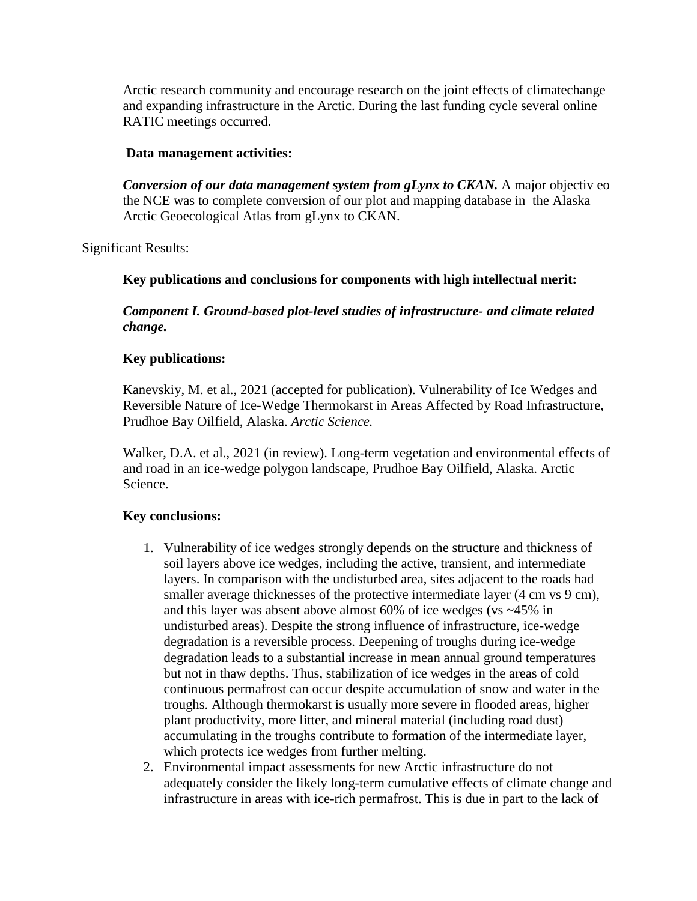Arctic research community and encourage research on the joint effects of climatechange and expanding infrastructure in the Arctic. During the last funding cycle several online RATIC meetings occurred.

#### **Data management activities:**

*Conversion of our data management system from gLynx to CKAN.* A major objectiv eo the NCE was to complete conversion of our plot and mapping database in the Alaska Arctic Geoecological Atlas from gLynx to CKAN.

Significant Results:

#### **Key publications and conclusions for components with high intellectual merit:**

*Component I. Ground-based plot-level studies of infrastructure- and climate related change.*

#### **Key publications:**

Kanevskiy, M. et al., 2021 (accepted for publication). Vulnerability of Ice Wedges and Reversible Nature of Ice-Wedge Thermokarst in Areas Affected by Road Infrastructure, Prudhoe Bay Oilfield, Alaska. *Arctic Science.*

Walker, D.A. et al., 2021 (in review). Long-term vegetation and environmental effects of and road in an ice-wedge polygon landscape, Prudhoe Bay Oilfield, Alaska. Arctic Science.

#### **Key conclusions:**

- 1. Vulnerability of ice wedges strongly depends on the structure and thickness of soil layers above ice wedges, including the active, transient, and intermediate layers. In comparison with the undisturbed area, sites adjacent to the roads had smaller average thicknesses of the protective intermediate layer (4 cm vs 9 cm), and this layer was absent above almost 60% of ice wedges (vs ~45% in undisturbed areas). Despite the strong influence of infrastructure, ice-wedge degradation is a reversible process. Deepening of troughs during ice-wedge degradation leads to a substantial increase in mean annual ground temperatures but not in thaw depths. Thus, stabilization of ice wedges in the areas of cold continuous permafrost can occur despite accumulation of snow and water in the troughs. Although thermokarst is usually more severe in flooded areas, higher plant productivity, more litter, and mineral material (including road dust) accumulating in the troughs contribute to formation of the intermediate layer, which protects ice wedges from further melting.
- 2. Environmental impact assessments for new Arctic infrastructure do not adequately consider the likely long-term cumulative effects of climate change and infrastructure in areas with ice-rich permafrost. This is due in part to the lack of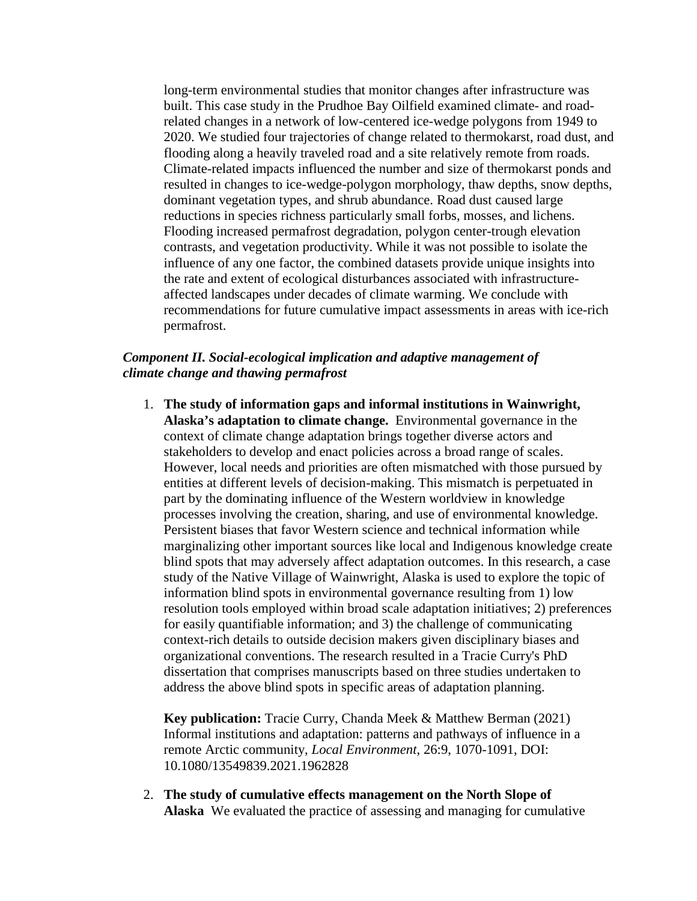long-term environmental studies that monitor changes after infrastructure was built. This case study in the Prudhoe Bay Oilfield examined climate- and roadrelated changes in a network of low-centered ice-wedge polygons from 1949 to 2020. We studied four trajectories of change related to thermokarst, road dust, and flooding along a heavily traveled road and a site relatively remote from roads. Climate-related impacts influenced the number and size of thermokarst ponds and resulted in changes to ice-wedge-polygon morphology, thaw depths, snow depths, dominant vegetation types, and shrub abundance. Road dust caused large reductions in species richness particularly small forbs, mosses, and lichens. Flooding increased permafrost degradation, polygon center-trough elevation contrasts, and vegetation productivity. While it was not possible to isolate the influence of any one factor, the combined datasets provide unique insights into the rate and extent of ecological disturbances associated with infrastructureaffected landscapes under decades of climate warming. We conclude with recommendations for future cumulative impact assessments in areas with ice-rich permafrost.

#### *Component II. Social-ecological implication and adaptive management of climate change and thawing permafrost*

1. **The study of information gaps and informal institutions in Wainwright, Alaska's adaptation to climate change.** Environmental governance in the context of climate change adaptation brings together diverse actors and stakeholders to develop and enact policies across a broad range of scales. However, local needs and priorities are often mismatched with those pursued by entities at different levels of decision-making. This mismatch is perpetuated in part by the dominating influence of the Western worldview in knowledge processes involving the creation, sharing, and use of environmental knowledge. Persistent biases that favor Western science and technical information while marginalizing other important sources like local and Indigenous knowledge create blind spots that may adversely affect adaptation outcomes. In this research, a case study of the Native Village of Wainwright, Alaska is used to explore the topic of information blind spots in environmental governance resulting from 1) low resolution tools employed within broad scale adaptation initiatives; 2) preferences for easily quantifiable information; and 3) the challenge of communicating context-rich details to outside decision makers given disciplinary biases and organizational conventions. The research resulted in a Tracie Curry's PhD dissertation that comprises manuscripts based on three studies undertaken to address the above blind spots in specific areas of adaptation planning.

**Key publication:** Tracie Curry, Chanda Meek & Matthew Berman (2021) Informal institutions and adaptation: patterns and pathways of influence in a remote Arctic community, *Local Environment*, 26:9, 1070-1091, DOI: 10.1080/13549839.2021.1962828

2. **The study of cumulative effects management on the North Slope of Alaska** We evaluated the practice of assessing and managing for cumulative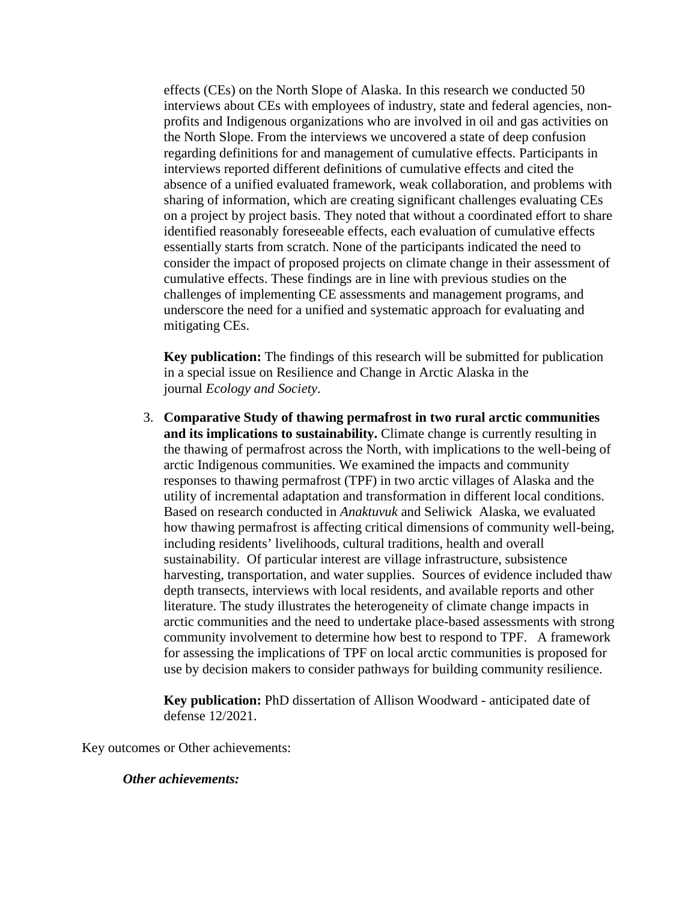effects (CEs) on the North Slope of Alaska. In this research we conducted 50 interviews about CEs with employees of industry, state and federal agencies, nonprofits and Indigenous organizations who are involved in oil and gas activities on the North Slope. From the interviews we uncovered a state of deep confusion regarding definitions for and management of cumulative effects. Participants in interviews reported different definitions of cumulative effects and cited the absence of a unified evaluated framework, weak collaboration, and problems with sharing of information, which are creating significant challenges evaluating CEs on a project by project basis. They noted that without a coordinated effort to share identified reasonably foreseeable effects, each evaluation of cumulative effects essentially starts from scratch. None of the participants indicated the need to consider the impact of proposed projects on climate change in their assessment of cumulative effects. These findings are in line with previous studies on the challenges of implementing CE assessments and management programs, and underscore the need for a unified and systematic approach for evaluating and mitigating CEs.

**Key publication:** The findings of this research will be submitted for publication in a special issue on Resilience and Change in Arctic Alaska in the journal *Ecology and Society*.

3. **Comparative Study of thawing permafrost in two rural arctic communities and its implications to sustainability.** Climate change is currently resulting in the thawing of permafrost across the North, with implications to the well-being of arctic Indigenous communities. We examined the impacts and community responses to thawing permafrost (TPF) in two arctic villages of Alaska and the utility of incremental adaptation and transformation in different local conditions. Based on research conducted in *Anaktuvuk* and Seliwick Alaska, we evaluated how thawing permafrost is affecting critical dimensions of community well-being, including residents' livelihoods, cultural traditions, health and overall sustainability. Of particular interest are village infrastructure, subsistence harvesting, transportation, and water supplies. Sources of evidence included thaw depth transects, interviews with local residents, and available reports and other literature. The study illustrates the heterogeneity of climate change impacts in arctic communities and the need to undertake place-based assessments with strong community involvement to determine how best to respond to TPF. A framework for assessing the implications of TPF on local arctic communities is proposed for use by decision makers to consider pathways for building community resilience.

**Key publication:** PhD dissertation of Allison Woodward - anticipated date of defense 12/2021.

Key outcomes or Other achievements:

#### *Other achievements:*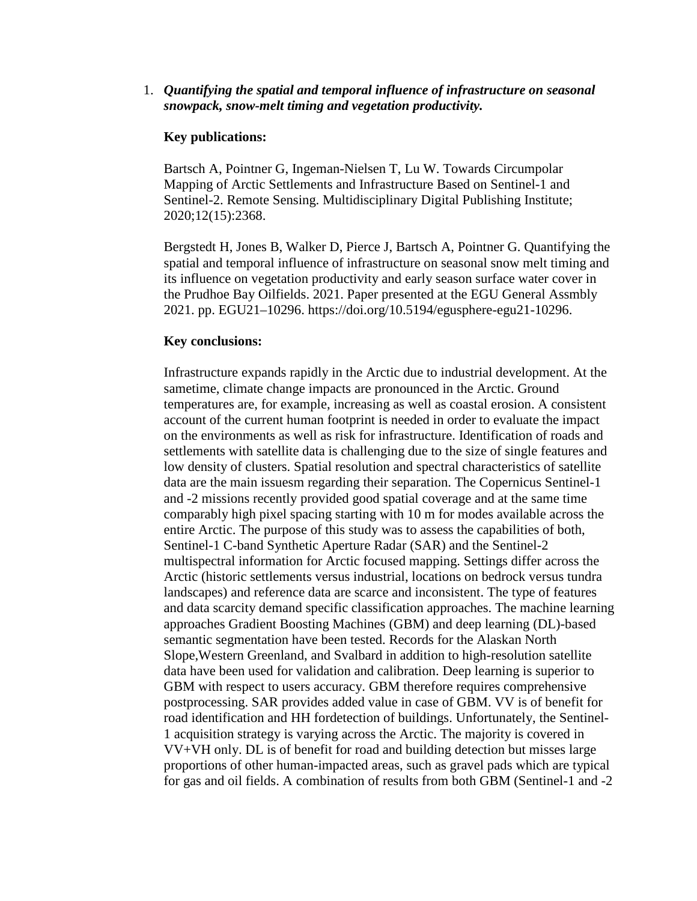#### 1. *Quantifying the spatial and temporal influence of infrastructure on seasonal snowpack, snow-melt timing and vegetation productivity.*

#### **Key publications:**

Bartsch A, Pointner G, Ingeman-Nielsen T, Lu W. Towards Circumpolar Mapping of Arctic Settlements and Infrastructure Based on Sentinel-1 and Sentinel-2. Remote Sensing. Multidisciplinary Digital Publishing Institute; 2020;12(15):2368.

Bergstedt H, Jones B, Walker D, Pierce J, Bartsch A, Pointner G. Quantifying the spatial and temporal influence of infrastructure on seasonal snow melt timing and its influence on vegetation productivity and early season surface water cover in the Prudhoe Bay Oilfields. 2021. Paper presented at the EGU General Assmbly 2021. pp. EGU21–10296. https://doi.org/10.5194/egusphere-egu21-10296.

#### **Key conclusions:**

Infrastructure expands rapidly in the Arctic due to industrial development. At the sametime, climate change impacts are pronounced in the Arctic. Ground temperatures are, for example, increasing as well as coastal erosion. A consistent account of the current human footprint is needed in order to evaluate the impact on the environments as well as risk for infrastructure. Identification of roads and settlements with satellite data is challenging due to the size of single features and low density of clusters. Spatial resolution and spectral characteristics of satellite data are the main issuesm regarding their separation. The Copernicus Sentinel-1 and -2 missions recently provided good spatial coverage and at the same time comparably high pixel spacing starting with 10 m for modes available across the entire Arctic. The purpose of this study was to assess the capabilities of both, Sentinel-1 C-band Synthetic Aperture Radar (SAR) and the Sentinel-2 multispectral information for Arctic focused mapping. Settings differ across the Arctic (historic settlements versus industrial, locations on bedrock versus tundra landscapes) and reference data are scarce and inconsistent. The type of features and data scarcity demand specific classification approaches. The machine learning approaches Gradient Boosting Machines (GBM) and deep learning (DL)-based semantic segmentation have been tested. Records for the Alaskan North Slope,Western Greenland, and Svalbard in addition to high-resolution satellite data have been used for validation and calibration. Deep learning is superior to GBM with respect to users accuracy. GBM therefore requires comprehensive postprocessing. SAR provides added value in case of GBM. VV is of benefit for road identification and HH fordetection of buildings. Unfortunately, the Sentinel-1 acquisition strategy is varying across the Arctic. The majority is covered in VV+VH only. DL is of benefit for road and building detection but misses large proportions of other human-impacted areas, such as gravel pads which are typical for gas and oil fields. A combination of results from both GBM (Sentinel-1 and -2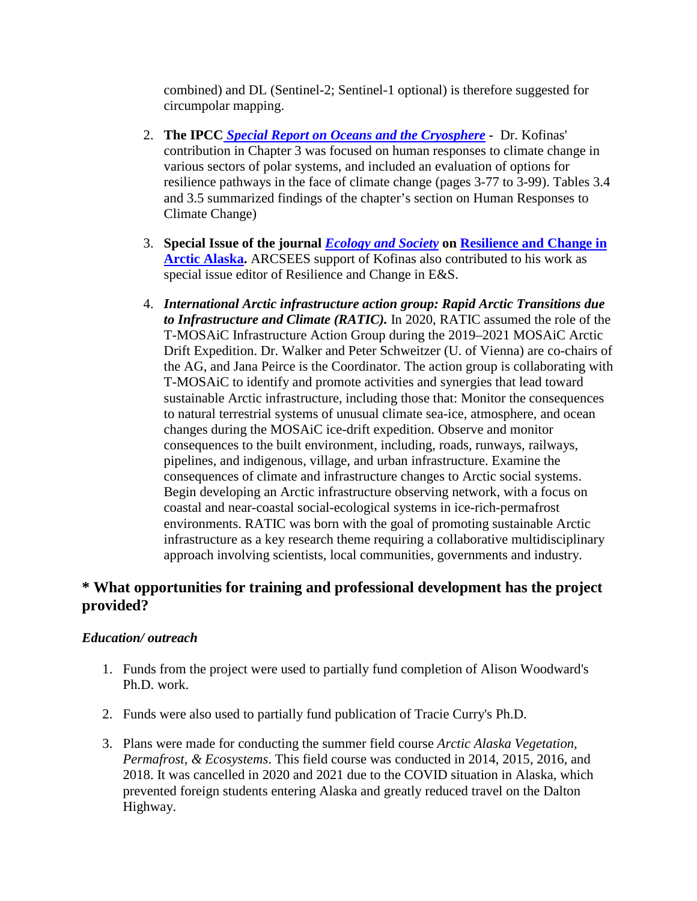combined) and DL (Sentinel-2; Sentinel-1 optional) is therefore suggested for circumpolar mapping.

- 2. **The IPCC** *[Special Report on Oceans and the Cryosphere](https://www.ipcc.ch/srocc/)* **-** Dr. Kofinas' contribution in Chapter 3 was focused on human responses to climate change in various sectors of polar systems, and included an evaluation of options for resilience pathways in the face of climate change (pages 3-77 to 3-99). Tables 3.4 and 3.5 summarized findings of the chapter's section on Human Responses to Climate Change)
- 3. **Special Issue of the journal** *[Ecology and Society](https://www.ecologyandsociety.org/)* **on [Resilience and Change in](https://www.ecologyandsociety.org/issues/view.php?sf=146)  [Arctic Alaska.](https://www.ecologyandsociety.org/issues/view.php?sf=146)** ARCSEES support of Kofinas also contributed to his work as special issue editor of Resilience and Change in E&S.
- 4. *International Arctic infrastructure action group: Rapid Arctic Transitions due to Infrastructure and Climate (RATIC).* In 2020, RATIC assumed the role of the T-MOSAiC Infrastructure Action Group during the 2019–2021 MOSAiC Arctic Drift Expedition. Dr. Walker and Peter Schweitzer (U. of Vienna) are co-chairs of the AG, and Jana Peirce is the Coordinator. The action group is collaborating with T-MOSAiC to identify and promote activities and synergies that lead toward sustainable Arctic infrastructure, including those that: Monitor the consequences to natural terrestrial systems of unusual climate sea-ice, atmosphere, and ocean changes during the MOSAiC ice-drift expedition. Observe and monitor consequences to the built environment, including, roads, runways, railways, pipelines, and indigenous, village, and urban infrastructure. Examine the consequences of climate and infrastructure changes to Arctic social systems. Begin developing an Arctic infrastructure observing network, with a focus on coastal and near-coastal social-ecological systems in ice-rich-permafrost environments. RATIC was born with the goal of promoting sustainable Arctic infrastructure as a key research theme requiring a collaborative multidisciplinary approach involving scientists, local communities, governments and industry.

# **\* What opportunities for training and professional development has the project provided?**

#### *Education/ outreach*

- 1. Funds from the project were used to partially fund completion of Alison Woodward's Ph.D. work.
- 2. Funds were also used to partially fund publication of Tracie Curry's Ph.D.
- 3. Plans were made for conducting the summer field course *Arctic Alaska Vegetation, Permafrost, & Ecosystems*. This field course was conducted in 2014, 2015, 2016, and 2018. It was cancelled in 2020 and 2021 due to the COVID situation in Alaska, which prevented foreign students entering Alaska and greatly reduced travel on the Dalton Highway.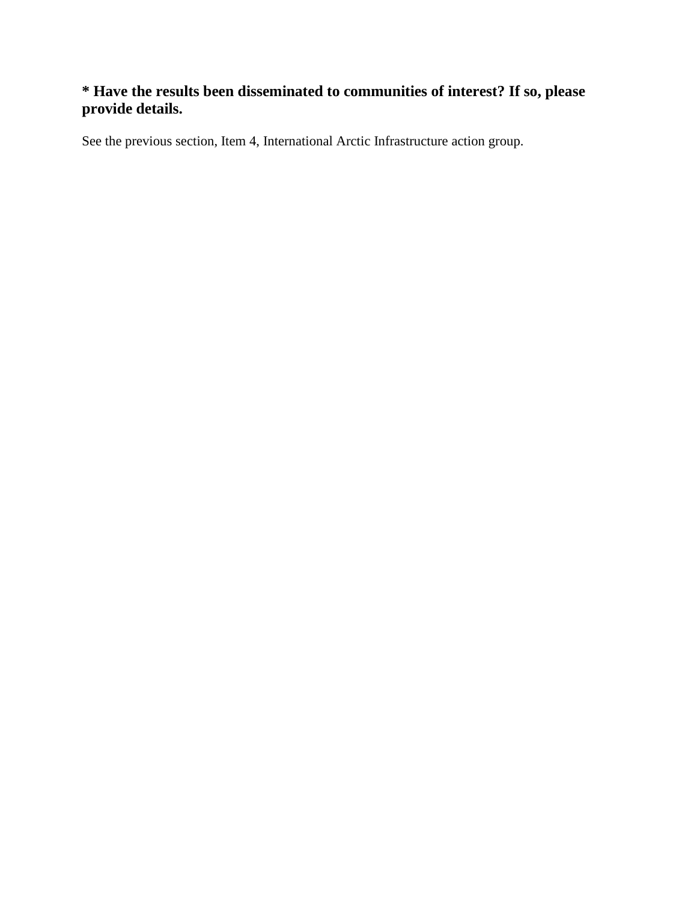# **\* Have the results been disseminated to communities of interest? If so, please provide details.**

See the previous section, Item 4, International Arctic Infrastructure action group.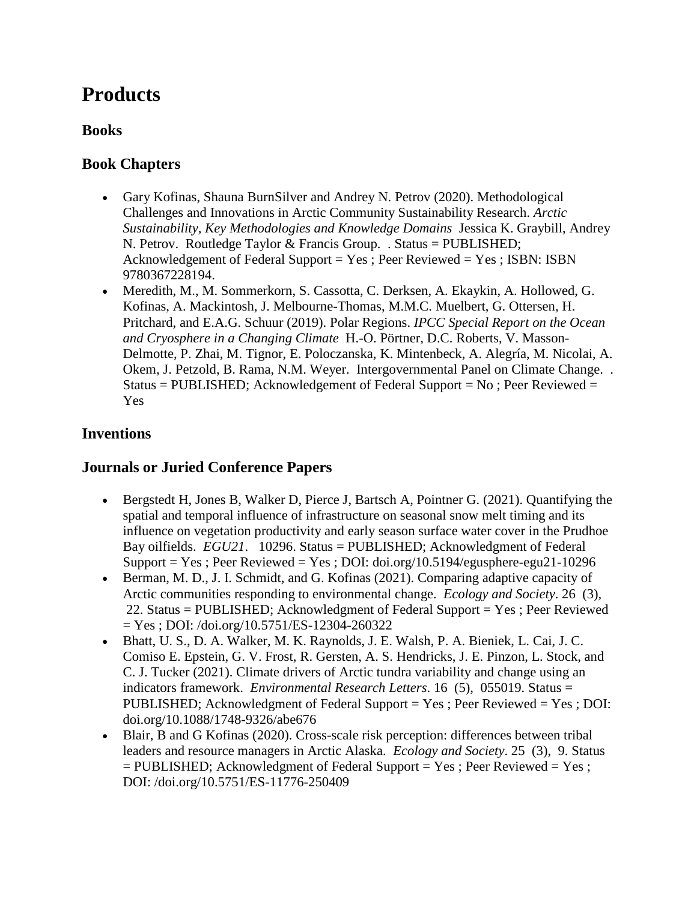# **Products**

# **Books**

# **Book Chapters**

- Gary Kofinas, Shauna BurnSilver and Andrey N. Petrov (2020). Methodological Challenges and Innovations in Arctic Community Sustainability Research. *Arctic Sustainability, Key Methodologies and Knowledge Domains* Jessica K. Graybill, Andrey N. Petrov. Routledge Taylor & Francis Group. . Status = PUBLISHED; Acknowledgement of Federal Support = Yes ; Peer Reviewed = Yes ; ISBN: ISBN 9780367228194.
- Meredith, M., M. Sommerkorn, S. Cassotta, C. Derksen, A. Ekaykin, A. Hollowed, G. Kofinas, A. Mackintosh, J. Melbourne-Thomas, M.M.C. Muelbert, G. Ottersen, H. Pritchard, and E.A.G. Schuur (2019). Polar Regions. *IPCC Special Report on the Ocean and Cryosphere in a Changing Climate* H.-O. Pörtner, D.C. Roberts, V. Masson-Delmotte, P. Zhai, M. Tignor, E. Poloczanska, K. Mintenbeck, A. Alegría, M. Nicolai, A. Okem, J. Petzold, B. Rama, N.M. Weyer. Intergovernmental Panel on Climate Change. . Status = PUBLISHED; Acknowledgement of Federal Support =  $No$ ; Peer Reviewed = Yes

# **Inventions**

# **Journals or Juried Conference Papers**

- Bergstedt H, Jones B, Walker D, Pierce J, Bartsch A, Pointner G. (2021). Quantifying the spatial and temporal influence of infrastructure on seasonal snow melt timing and its influence on vegetation productivity and early season surface water cover in the Prudhoe Bay oilfields. *EGU21*. 10296. Status = PUBLISHED; Acknowledgment of Federal Support = Yes; Peer Reviewed = Yes; DOI: doi.org/10.5194/egusphere-egu21-10296
- Berman, M. D., J. I. Schmidt, and G. Kofinas (2021). Comparing adaptive capacity of Arctic communities responding to environmental change. *Ecology and Society*. 26 (3), 22. Status = PUBLISHED; Acknowledgment of Federal Support = Yes ; Peer Reviewed = Yes ; DOI: /doi.org/10.5751/ES-12304-260322
- Bhatt, U. S., D. A. Walker, M. K. Raynolds, J. E. Walsh, P. A. Bieniek, L. Cai, J. C. Comiso E. Epstein, G. V. Frost, R. Gersten, A. S. Hendricks, J. E. Pinzon, L. Stock, and C. J. Tucker (2021). Climate drivers of Arctic tundra variability and change using an indicators framework. *Environmental Research Letters*. 16 (5), 055019. Status = PUBLISHED; Acknowledgment of Federal Support = Yes ; Peer Reviewed = Yes ; DOI: doi.org/10.1088/1748-9326/abe676
- Blair, B and G Kofinas (2020). Cross-scale risk perception: differences between tribal leaders and resource managers in Arctic Alaska. *Ecology and Society*. 25 (3), 9. Status = PUBLISHED; Acknowledgment of Federal Support = Yes ; Peer Reviewed = Yes ; DOI: /doi.org/10.5751/ES-11776-250409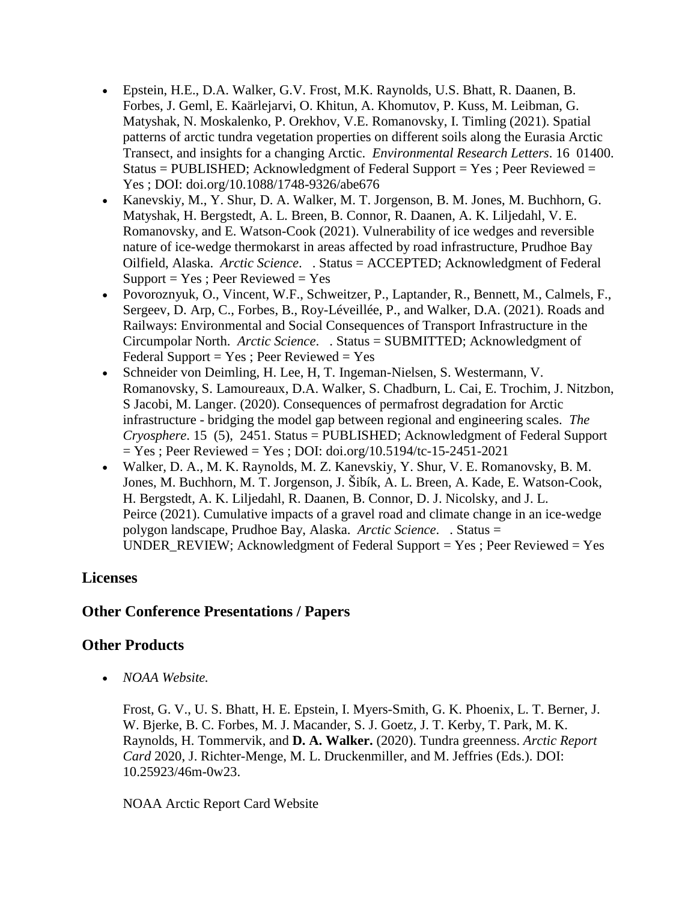- Epstein, H.E., D.A. Walker, G.V. Frost, M.K. Raynolds, U.S. Bhatt, R. Daanen, B. Forbes, J. Geml, E. Kaärlejarvi, O. Khitun, A. Khomutov, P. Kuss, M. Leibman, G. Matyshak, N. Moskalenko, P. Orekhov, V.E. Romanovsky, I. Timling (2021). Spatial patterns of arctic tundra vegetation properties on different soils along the Eurasia Arctic Transect, and insights for a changing Arctic. *Environmental Research Letters*. 16 01400. Status = PUBLISHED; Acknowledgment of Federal Support = Yes; Peer Reviewed = Yes ; DOI: doi.org/10.1088/1748-9326/abe676
- Kanevskiy, M., Y. Shur, D. A. Walker, M. T. Jorgenson, B. M. Jones, M. Buchhorn, G. Matyshak, H. Bergstedt, A. L. Breen, B. Connor, R. Daanen, A. K. Liljedahl, V. E. Romanovsky, and E. Watson-Cook (2021). Vulnerability of ice wedges and reversible nature of ice-wedge thermokarst in areas affected by road infrastructure, Prudhoe Bay Oilfield, Alaska. *Arctic Science*. . Status = ACCEPTED; Acknowledgment of Federal  $Support = Yes$ ; Peer Reviewed = Yes
- Povoroznyuk, O., Vincent, W.F., Schweitzer, P., Laptander, R., Bennett, M., Calmels, F., Sergeev, D. Arp, C., Forbes, B., Roy-Léveillée, P., and Walker, D.A. (2021). Roads and Railways: Environmental and Social Consequences of Transport Infrastructure in the Circumpolar North. *Arctic Science*. . Status = SUBMITTED; Acknowledgment of Federal Support =  $Yes$ ; Peer Reviewed =  $Yes$
- Schneider von Deimling, H. Lee, H, T. Ingeman-Nielsen, S. Westermann, V. Romanovsky, S. Lamoureaux, D.A. Walker, S. Chadburn, L. Cai, E. Trochim, J. Nitzbon, S Jacobi, M. Langer. (2020). Consequences of permafrost degradation for Arctic infrastructure - bridging the model gap between regional and engineering scales. *The Cryosphere*. 15 (5), 2451. Status = PUBLISHED; Acknowledgment of Federal Support  $=$  Yes ; Peer Reviewed  $=$  Yes ; DOI: doi.org/10.5194/tc-15-2451-2021
- Walker, D. A., M. K. Raynolds, M. Z. Kanevskiy, Y. Shur, V. E. Romanovsky, B. M. Jones, M. Buchhorn, M. T. Jorgenson, J. Šibík, A. L. Breen, A. Kade, E. Watson-Cook, H. Bergstedt, A. K. Liljedahl, R. Daanen, B. Connor, D. J. Nicolsky, and J. L. Peirce (2021). Cumulative impacts of a gravel road and climate change in an ice-wedge polygon landscape, Prudhoe Bay, Alaska. *Arctic Science*. . Status = UNDER\_REVIEW; Acknowledgment of Federal Support  $=$  Yes ; Peer Reviewed  $=$  Yes

# **Licenses**

# **Other Conference Presentations / Papers**

# **Other Products**

• *NOAA Website.* 

Frost, G. V., U. S. Bhatt, H. E. Epstein, I. Myers-Smith, G. K. Phoenix, L. T. Berner, J. W. Bjerke, B. C. Forbes, M. J. Macander, S. J. Goetz, J. T. Kerby, T. Park, M. K. Raynolds, H. Tommervik, and **D. A. Walker.** (2020). Tundra greenness. *Arctic Report Card* 2020, J. Richter-Menge, M. L. Druckenmiller, and M. Jeffries (Eds.). DOI: 10.25923/46m-0w23.

#### NOAA Arctic Report Card Website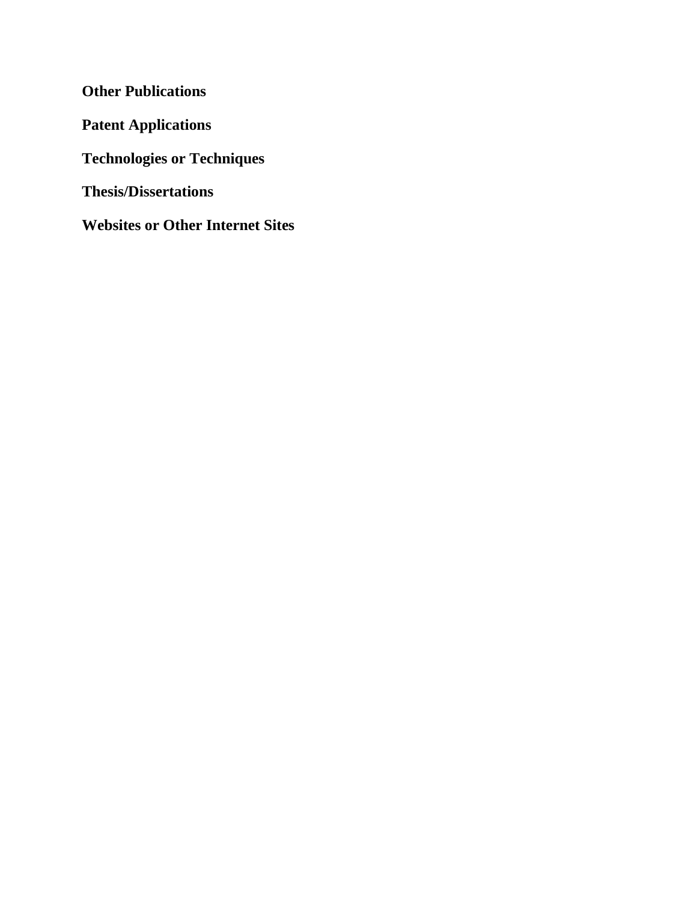**Other Publications Patent Applications Technologies or Techniques Thesis/Dissertations Websites or Other Internet Sites**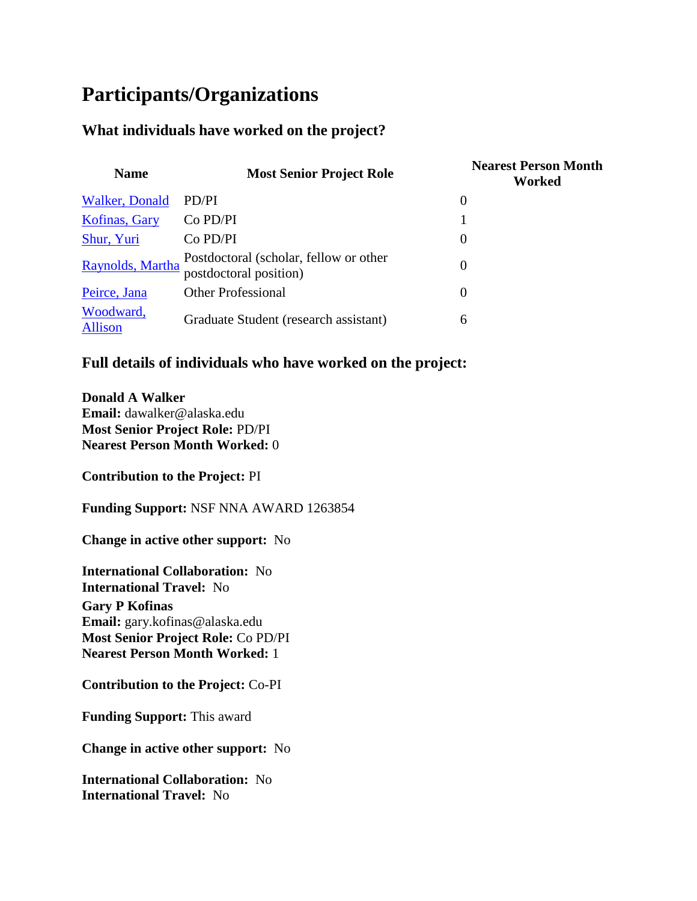# **Participants/Organizations**

# **What individuals have worked on the project?**

| <b>Name</b>                 | <b>Most Senior Project Role</b>                                  | <b>Nearest Person Month</b><br>Worked |
|-----------------------------|------------------------------------------------------------------|---------------------------------------|
| Walker, Donald              | PD/PI                                                            | $\theta$                              |
| Kofinas, Gary               | Co PD/PI                                                         |                                       |
| Shur, Yuri                  | Co PD/PI                                                         | $\Omega$                              |
| Raynolds, Martha            | Postdoctoral (scholar, fellow or other<br>postdoctoral position) | $\theta$                              |
| Peirce, Jana                | <b>Other Professional</b>                                        | $\theta$                              |
| Woodward,<br><b>Allison</b> | Graduate Student (research assistant)                            | 6                                     |

# **Full details of individuals who have worked on the project:**

**Donald A Walker Email:** dawalker@alaska.edu **Most Senior Project Role:** PD/PI **Nearest Person Month Worked:** 0

**Contribution to the Project:** PI

**Funding Support:** NSF NNA AWARD 1263854

**Change in active other support:** No

**International Collaboration:** No **International Travel:** No

**Gary P Kofinas Email:** gary.kofinas@alaska.edu **Most Senior Project Role:** Co PD/PI **Nearest Person Month Worked:** 1

**Contribution to the Project:** Co-PI

**Funding Support:** This award

**Change in active other support:** No

**International Collaboration:** No **International Travel:** No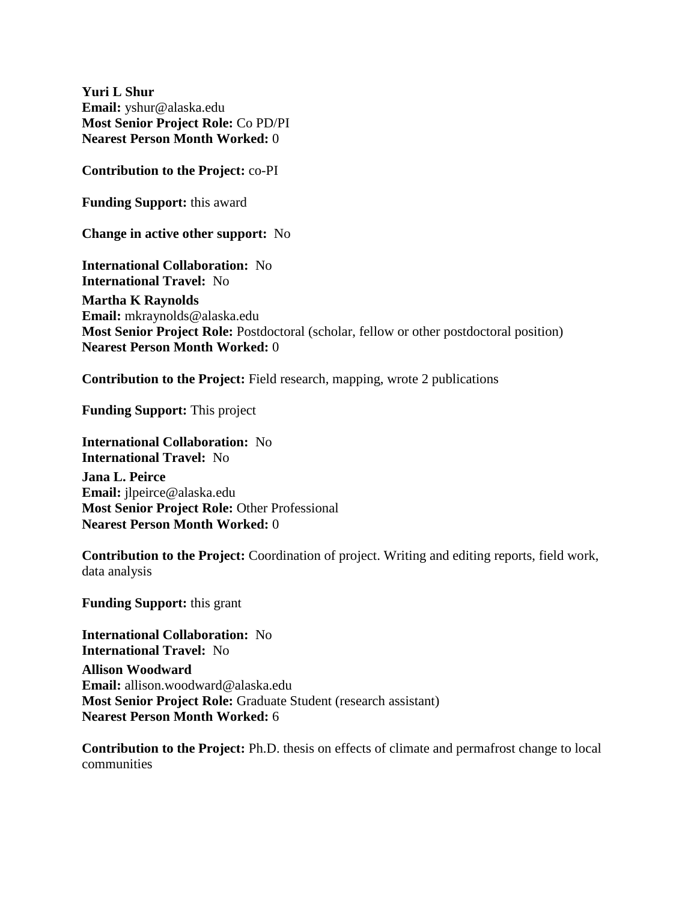**Yuri L Shur Email:** yshur@alaska.edu **Most Senior Project Role:** Co PD/PI **Nearest Person Month Worked:** 0

**Contribution to the Project:** co-PI

**Funding Support:** this award

**Change in active other support:** No

**International Collaboration:** No **International Travel:** No **Martha K Raynolds Email:** mkraynolds@alaska.edu **Most Senior Project Role:** Postdoctoral (scholar, fellow or other postdoctoral position) **Nearest Person Month Worked:** 0

**Contribution to the Project:** Field research, mapping, wrote 2 publications

**Funding Support:** This project

**International Collaboration:** No **International Travel:** No **Jana L. Peirce Email:** jlpeirce@alaska.edu **Most Senior Project Role:** Other Professional **Nearest Person Month Worked:** 0

**Contribution to the Project:** Coordination of project. Writing and editing reports, field work, data analysis

**Funding Support:** this grant

**International Collaboration:** No **International Travel:** No **Allison Woodward Email:** allison.woodward@alaska.edu **Most Senior Project Role:** Graduate Student (research assistant) **Nearest Person Month Worked:** 6

**Contribution to the Project:** Ph.D. thesis on effects of climate and permafrost change to local communities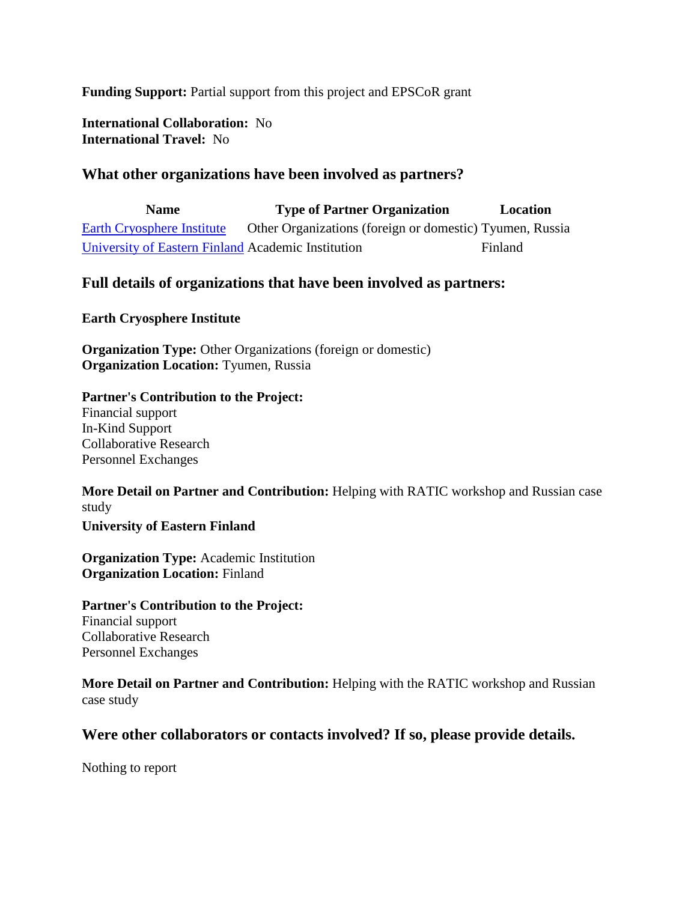**Funding Support:** Partial support from this project and EPSCoR grant

**International Collaboration:** No **International Travel:** No

# **What other organizations have been involved as partners?**

**Name Type of Partner Organization Location** [Earth Cryosphere Institute](https://reporting.research.gov/rppr-web/rppr?execution=e1s8#organization_0) Other Organizations (foreign or domestic) Tyumen, Russia [University of Eastern Finland](https://reporting.research.gov/rppr-web/rppr?execution=e1s8#organization_1) Academic Institution Finland

#### **Full details of organizations that have been involved as partners:**

**Earth Cryosphere Institute**

**Organization Type:** Other Organizations (foreign or domestic) **Organization Location:** Tyumen, Russia

**Partner's Contribution to the Project:** Financial support In-Kind Support Collaborative Research Personnel Exchanges

**More Detail on Partner and Contribution:** Helping with RATIC workshop and Russian case study

**University of Eastern Finland**

**Organization Type:** Academic Institution **Organization Location:** Finland

**Partner's Contribution to the Project:** Financial support Collaborative Research Personnel Exchanges

**More Detail on Partner and Contribution:** Helping with the RATIC workshop and Russian case study

#### **Were other collaborators or contacts involved? If so, please provide details.**

Nothing to report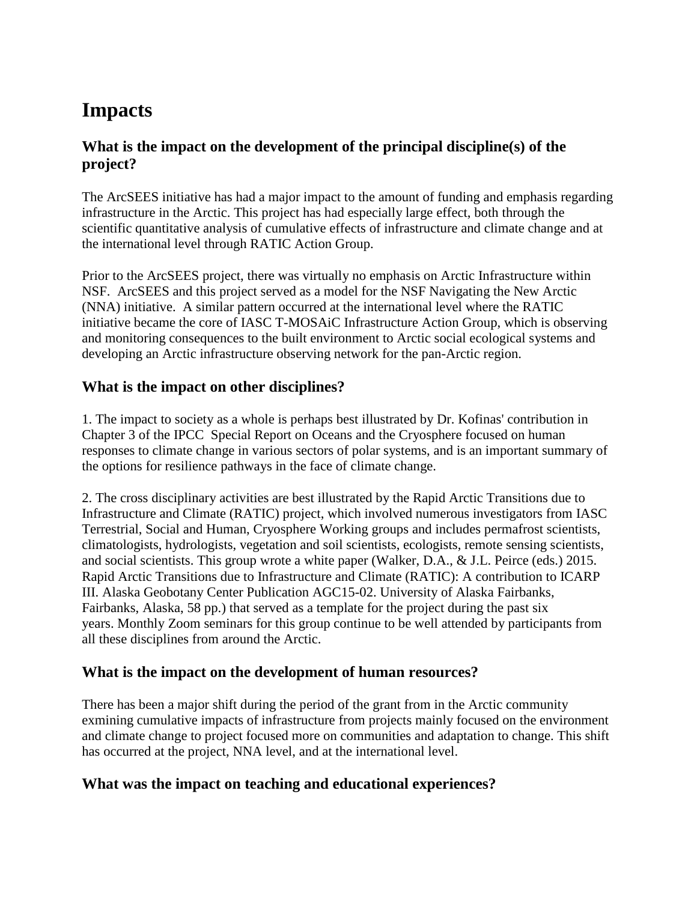# **Impacts**

# **What is the impact on the development of the principal discipline(s) of the project?**

The ArcSEES initiative has had a major impact to the amount of funding and emphasis regarding infrastructure in the Arctic. This project has had especially large effect, both through the scientific quantitative analysis of cumulative effects of infrastructure and climate change and at the international level through RATIC Action Group.

Prior to the ArcSEES project, there was virtually no emphasis on Arctic Infrastructure within NSF. ArcSEES and this project served as a model for the NSF Navigating the New Arctic (NNA) initiative. A similar pattern occurred at the international level where the RATIC initiative became the core of IASC T-MOSAiC Infrastructure Action Group, which is observing and monitoring consequences to the built environment to Arctic social ecological systems and developing an Arctic infrastructure observing network for the pan-Arctic region.

# **What is the impact on other disciplines?**

1. The impact to society as a whole is perhaps best illustrated by Dr. Kofinas' contribution in Chapter 3 of the IPCC Special Report on Oceans and the Cryosphere focused on human responses to climate change in various sectors of polar systems, and is an important summary of the options for resilience pathways in the face of climate change.

2. The cross disciplinary activities are best illustrated by the Rapid Arctic Transitions due to Infrastructure and Climate (RATIC) project, which involved numerous investigators from IASC Terrestrial, Social and Human, Cryosphere Working groups and includes permafrost scientists, climatologists, hydrologists, vegetation and soil scientists, ecologists, remote sensing scientists, and social scientists. This group wrote a white paper (Walker, D.A., & J.L. Peirce (eds.) 2015. Rapid Arctic Transitions due to Infrastructure and Climate (RATIC): A contribution to ICARP III. Alaska Geobotany Center Publication AGC15-02. University of Alaska Fairbanks, Fairbanks, Alaska, 58 pp.) that served as a template for the project during the past six years. Monthly Zoom seminars for this group continue to be well attended by participants from all these disciplines from around the Arctic.

# **What is the impact on the development of human resources?**

There has been a major shift during the period of the grant from in the Arctic community exmining cumulative impacts of infrastructure from projects mainly focused on the environment and climate change to project focused more on communities and adaptation to change. This shift has occurred at the project, NNA level, and at the international level.

# **What was the impact on teaching and educational experiences?**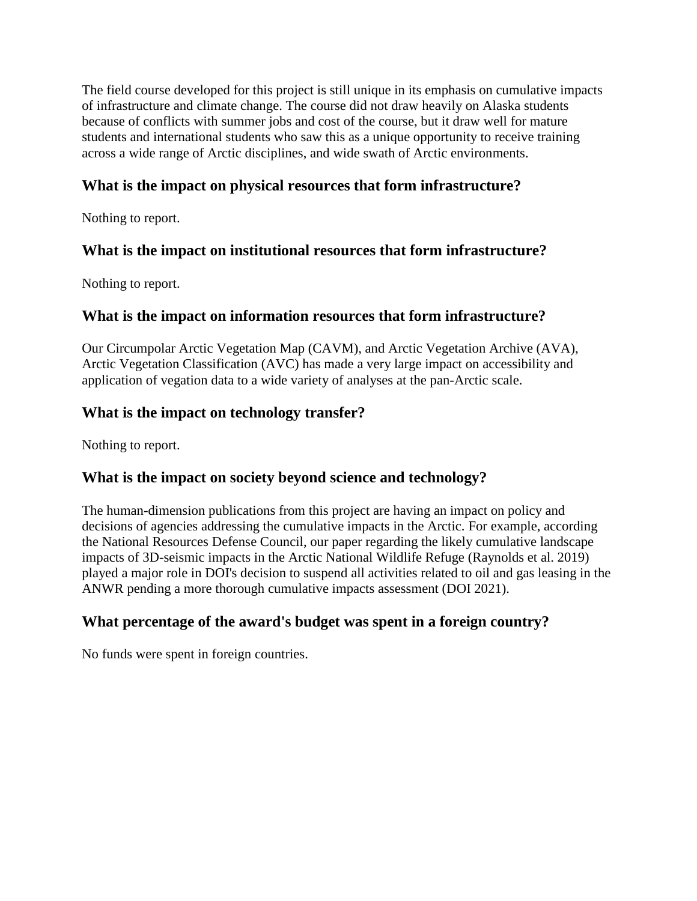The field course developed for this project is still unique in its emphasis on cumulative impacts of infrastructure and climate change. The course did not draw heavily on Alaska students because of conflicts with summer jobs and cost of the course, but it draw well for mature students and international students who saw this as a unique opportunity to receive training across a wide range of Arctic disciplines, and wide swath of Arctic environments.

# **What is the impact on physical resources that form infrastructure?**

Nothing to report.

### **What is the impact on institutional resources that form infrastructure?**

Nothing to report.

### **What is the impact on information resources that form infrastructure?**

Our Circumpolar Arctic Vegetation Map (CAVM), and Arctic Vegetation Archive (AVA), Arctic Vegetation Classification (AVC) has made a very large impact on accessibility and application of vegation data to a wide variety of analyses at the pan-Arctic scale.

### **What is the impact on technology transfer?**

Nothing to report.

# **What is the impact on society beyond science and technology?**

The human-dimension publications from this project are having an impact on policy and decisions of agencies addressing the cumulative impacts in the Arctic. For example, according the National Resources Defense Council, our paper regarding the likely cumulative landscape impacts of 3D-seismic impacts in the Arctic National Wildlife Refuge (Raynolds et al. 2019) played a major role in DOI's decision to suspend all activities related to oil and gas leasing in the ANWR pending a more thorough cumulative impacts assessment (DOI 2021).

# **What percentage of the award's budget was spent in a foreign country?**

No funds were spent in foreign countries.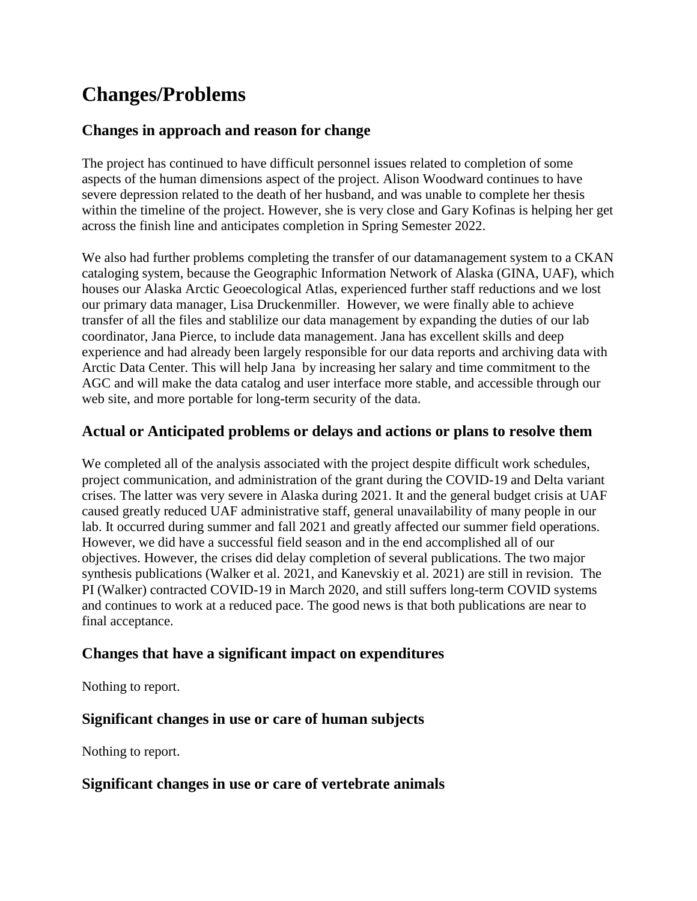# **Changes/Problems**

# **Changes in approach and reason for change**

The project has continued to have difficult personnel issues related to completion of some aspects of the human dimensions aspect of the project. Alison Woodward continues to have severe depression related to the death of her husband, and was unable to complete her thesis within the timeline of the project. However, she is very close and Gary Kofinas is helping her get across the finish line and anticipates completion in Spring Semester 2022.

We also had further problems completing the transfer of our datamanagement system to a CKAN cataloging system, because the Geographic Information Network of Alaska (GINA, UAF), which houses our Alaska Arctic Geoecological Atlas, experienced further staff reductions and we lost our primary data manager, Lisa Druckenmiller. However, we were finally able to achieve transfer of all the files and stablilize our data management by expanding the duties of our lab coordinator, Jana Pierce, to include data management. Jana has excellent skills and deep experience and had already been largely responsible for our data reports and archiving data with Arctic Data Center. This will help Jana by increasing her salary and time commitment to the AGC and will make the data catalog and user interface more stable, and accessible through our web site, and more portable for long-term security of the data.

# **Actual or Anticipated problems or delays and actions or plans to resolve them**

We completed all of the analysis associated with the project despite difficult work schedules, project communication, and administration of the grant during the COVID-19 and Delta variant crises. The latter was very severe in Alaska during 2021. It and the general budget crisis at UAF caused greatly reduced UAF administrative staff, general unavailability of many people in our lab. It occurred during summer and fall 2021 and greatly affected our summer field operations. However, we did have a successful field season and in the end accomplished all of our objectives. However, the crises did delay completion of several publications. The two major synthesis publications (Walker et al. 2021, and Kanevskiy et al. 2021) are still in revision. The PI (Walker) contracted COVID-19 in March 2020, and still suffers long-term COVID systems and continues to work at a reduced pace. The good news is that both publications are near to final acceptance.

# **Changes that have a significant impact on expenditures**

Nothing to report.

# **Significant changes in use or care of human subjects**

Nothing to report.

#### **Significant changes in use or care of vertebrate animals**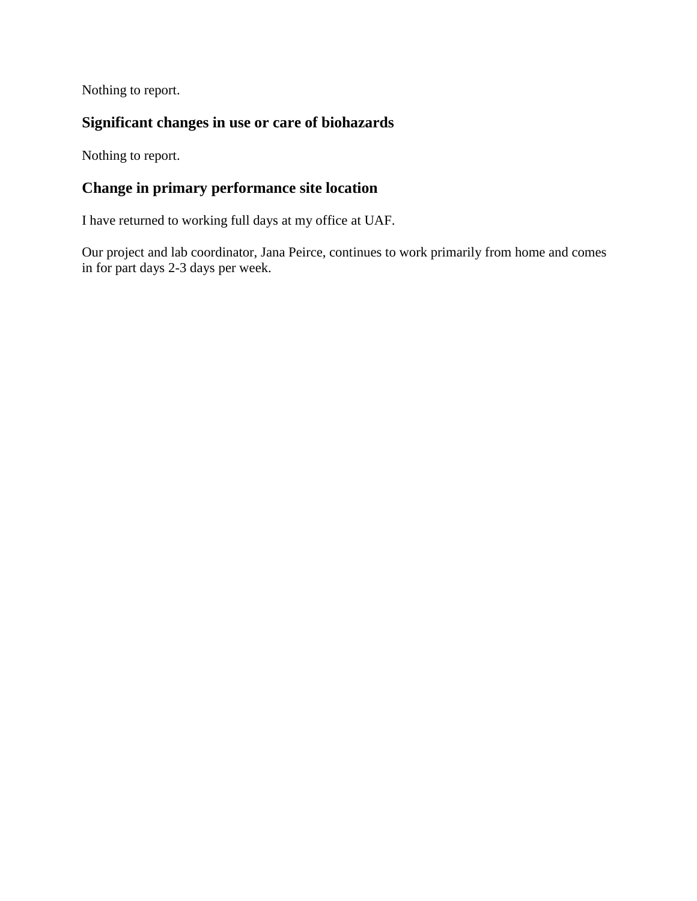Nothing to report.

# **Significant changes in use or care of biohazards**

Nothing to report.

# **Change in primary performance site location**

I have returned to working full days at my office at UAF.

Our project and lab coordinator, Jana Peirce, continues to work primarily from home and comes in for part days 2-3 days per week.